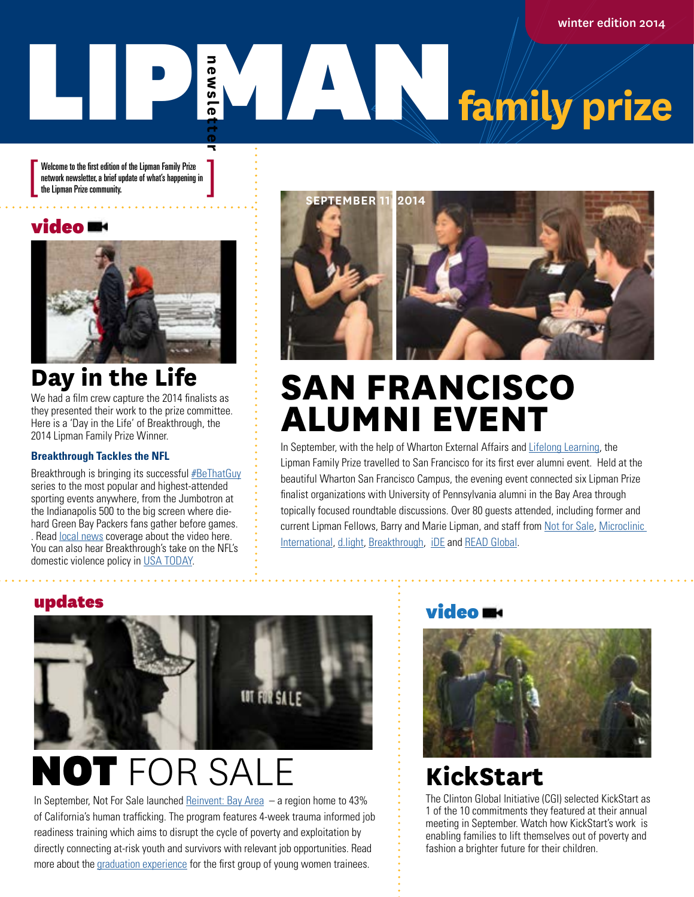winter edition 2014

# **EXAMPLE 12 Family prize newsletter**

Welcome to the first edition of the Lipman Family Prize network newsletter, a brief update of what's happening in<br>the Lipman Prize community.

## video



## **Day in the Life**

We had a film crew capture the 2014 finalists as they presented their work to the prize committee. Here is a 'Day in the Life' of Breakthrough, the 2014 Lipman Family Prize Winner.

#### **Breakthrough Tackles the NFL**

Breakthrough is bringing its successful **[#BeThatGuy](http://bethatguy.breakthrough.tv)** series to the most popular and highest-attended sporting events anywhere, from the Jumbotron at the Indianapolis 500 to the big screen where diehard Green Bay Packers fans gather before games. . Read [local news](http://fox6now.com/2014/10/08/taking-a-stand-against-domestic-violence-psa-broadcast-where-packers-fans-gather-for-tailgating-at-lambeau/) coverage about the video here. You can also hear Breakthrough's take on the NFL's domestic violence policy in [USA TODAY.](http://www.usatoday.com/story/sports/nfl/2014/10/08/domestic-violence-policy-changes/16950271/)



# **SAN FRANCISCO ALUMNI EVENT**

In September, with the help of Wharton External Affairs and [Lifelong Learning](http://lifelonglearning.wharton.upenn.edu), the Lipman Family Prize travelled to San Francisco for its first ever alumni event. Held at the beautiful Wharton San Francisco Campus, the evening event connected six Lipman Prize finalist organizations with University of Pennsylvania alumni in the Bay Area through topically focused roundtable discussions. Over 80 guests attended, including former and current Lipman Fellows, Barry and Marie Lipman, and staff from [Not for Sale](http://notforsalecampaign.org), [Microclinic](http://microclinics.org)  [International,](http://microclinics.org) [d.light,](http://www.dlight.com) [Breakthrough,](http://www.breakthrough.tv) [iDE](http://www.ideorg.org) and [READ Global](http://readglobal.org).

### updates



# NOT FOR SALE

In September, Not For Sale launched [Reinvent: Bay Area](http://notforsalecampaign.org/global-initiatives/bay-area-project/) – a region home to 43% of California's human trafficking. The program features 4-week trauma informed job readiness training which aims to disrupt the cycle of poverty and exploitation by directly connecting at-risk youth and survivors with relevant job opportunities. Read more about the [graduation experience](http://notforsalecampaign.org/stories/2014/09/26/first-graduation/) for the first group of young women trainees.

### video **m**



## **KickStart**

The Clinton Global Initiative (CGI) selected KickStart as 1 of the 10 commitments they featured at their annual meeting in September. Watch how KickStart's work is enabling families to lift themselves out of poverty and fashion a brighter future for their children.